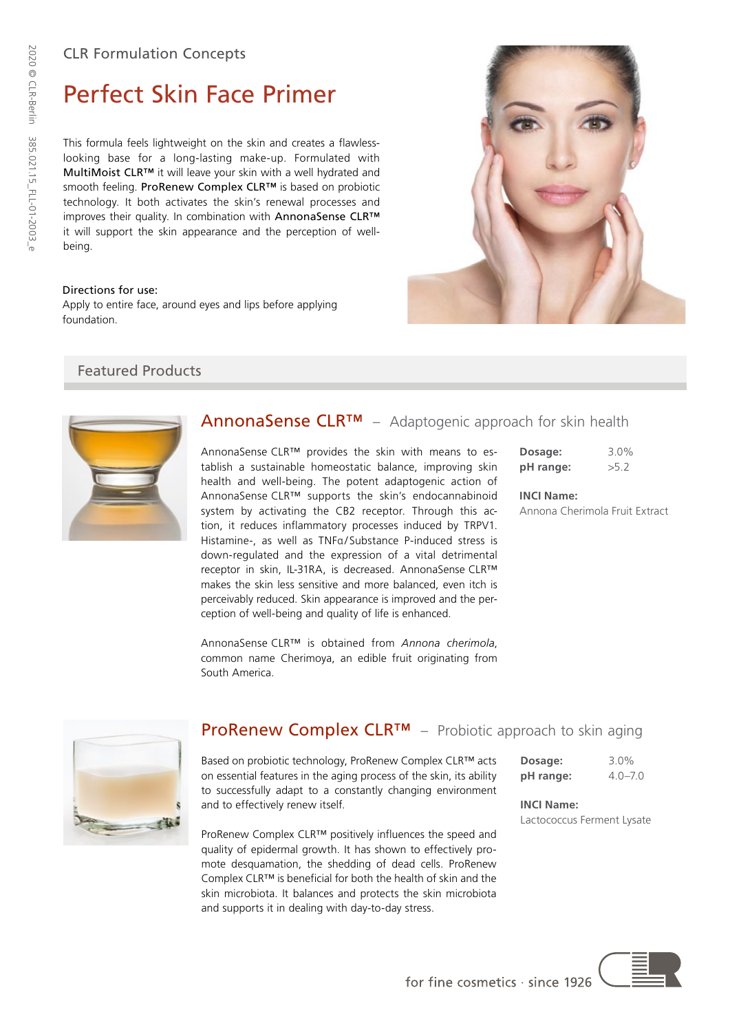# Perfect Skin Face Primer

This formula feels lightweight on the skin and creates a flawlesslooking base for a long-lasting make-up. Formulated with MultiMoist CLR™ it will leave your skin with a well hydrated and smooth feeling. ProRenew Complex CLR™ is based on probiotic technology. It both activates the skin's renewal processes and improves their quality. In combination with AnnonaSense CLR™ it will support the skin appearance and the perception of wellbeing.

#### Directions for use:

Apply to entire face, around eyes and lips before applying foundation.

# Featured Products



## AnnonaSense CLR<sup>™</sup> – Adaptogenic approach for skin health

AnnonaSense CLR™ provides the skin with means to establish a sustainable homeostatic balance, improving skin health and well-being. The potent adaptogenic action of AnnonaSense CLR™ supports the skin's endocannabinoid system by activating the CB2 receptor. Through this action, it reduces inflammatory processes induced by TRPV1. Histamine-, as well as TNFa/Substance P-induced stress is down-regulated and the expression of a vital detrimental receptor in skin, IL-31RA, is decreased. AnnonaSense CLR™ makes the skin less sensitive and more balanced, even itch is perceivably reduced. Skin appearance is improved and the perception of well-being and quality of life is enhanced.

AnnonaSense CLR™ is obtained from *Annona cherimola*, common name Cherimoya, an edible fruit originating from South America.



#### **INCI Name:**

Annona Cherimola Fruit Extract



## **ProRenew Complex CLR™** − Probiotic approach to skin aging

Based on probiotic technology, ProRenew Complex CLR™ acts on essential features in the aging process of the skin, its ability to successfully adapt to a constantly changing environment and to effectively renew itself.

ProRenew Complex CLR™ positively influences the speed and quality of epidermal growth. It has shown to effectively promote desquamation, the shedding of dead cells. ProRenew Complex CLR™ is beneficial for both the health of skin and the skin microbiota. It balances and protects the skin microbiota and supports it in dealing with day-to-day stress.

| Dosage:   | $3.0\%$     |
|-----------|-------------|
| pH range: | $4.0 - 7.0$ |

**INCI Name:** Lactococcus Ferment Lysate



for fine cosmetics  $\cdot$  since 1926